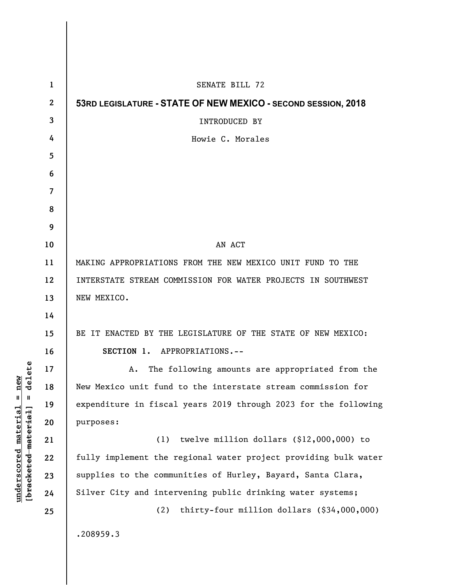| $\mathbf{1}$     | SENATE BILL 72                                                  |
|------------------|-----------------------------------------------------------------|
| $\boldsymbol{2}$ | 53RD LEGISLATURE - STATE OF NEW MEXICO - SECOND SESSION, 2018   |
| 3                | <b>INTRODUCED BY</b>                                            |
| 4                | Howie C. Morales                                                |
| 5                |                                                                 |
| 6                |                                                                 |
| 7                |                                                                 |
| 8                |                                                                 |
| 9                |                                                                 |
| 10               | AN ACT                                                          |
| 11               | MAKING APPROPRIATIONS FROM THE NEW MEXICO UNIT FUND TO THE      |
| 12               | INTERSTATE STREAM COMMISSION FOR WATER PROJECTS IN SOUTHWEST    |
| 13               | NEW MEXICO.                                                     |
| 14               |                                                                 |
| 15               | BE IT ENACTED BY THE LEGISLATURE OF THE STATE OF NEW MEXICO:    |
| 16               | SECTION 1. APPROPRIATIONS.--                                    |
| 17               | The following amounts are appropriated from the<br>А.           |
| 18               | New Mexico unit fund to the interstate stream commission for    |
| 19               | expenditure in fiscal years 2019 through 2023 for the following |
| 20               | purposes:                                                       |
| 21               | (1)<br>twelve million dollars $($12,000,000)$ to                |
| 22               | fully implement the regional water project providing bulk water |
| 23               | supplies to the communities of Hurley, Bayard, Santa Clara,     |
| 24               | Silver City and intervening public drinking water systems;      |
| 25               | thirty-four million dollars (\$34,000,000)<br>(2)               |
|                  | .208959.3                                                       |

**underscored material = new [bracketed material] = delete**

 $[**bracket eted metert et**] = **del et e**$  $underscored material = new$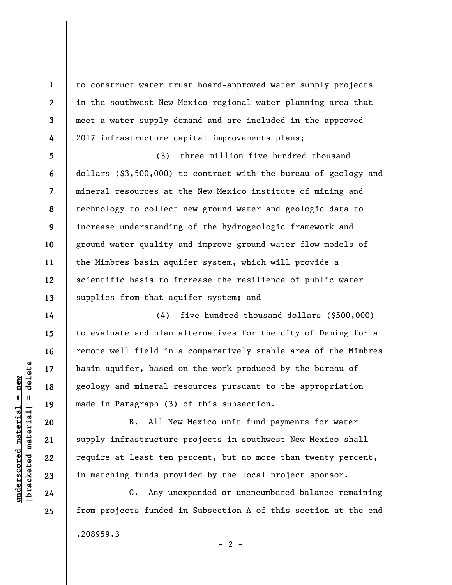to construct water trust board-approved water supply projects in the southwest New Mexico regional water planning area that meet a water supply demand and are included in the approved 2017 infrastructure capital improvements plans;

**5 6 7 8 9 10 11 12 13**  (3) three million five hundred thousand dollars (\$3,500,000) to contract with the bureau of geology and mineral resources at the New Mexico institute of mining and technology to collect new ground water and geologic data to increase understanding of the hydrogeologic framework and ground water quality and improve ground water flow models of the Mimbres basin aquifer system, which will provide a scientific basis to increase the resilience of public water supplies from that aquifer system; and

(4) five hundred thousand dollars (\$500,000) to evaluate and plan alternatives for the city of Deming for a remote well field in a comparatively stable area of the Mimbres basin aquifer, based on the work produced by the bureau of geology and mineral resources pursuant to the appropriation made in Paragraph (3) of this subsection.

B. All New Mexico unit fund payments for water supply infrastructure projects in southwest New Mexico shall require at least ten percent, but no more than twenty percent, in matching funds provided by the local project sponsor.

C. Any unexpended or unencumbered balance remaining from projects funded in Subsection A of this section at the end .208959.3  $- 2 -$ 

 $\frac{1}{2}$  of  $\frac{1}{2}$  and  $\frac{1}{2}$  and  $\frac{1}{2}$  and  $\frac{1}{2}$  and  $\frac{1}{2}$  and  $\frac{1}{2}$  and  $\frac{1}{2}$  and  $\frac{1}{2}$  and  $\frac{1}{2}$  and  $\frac{1}{2}$  and  $\frac{1}{2}$  and  $\frac{1}{2}$  and  $\frac{1}{2}$  and  $\frac{1}{2}$  and  $\frac{1}{2}$  an **[bracketed material] = delete**  $underscored material = new$ **underscored material = new**

**1** 

**2** 

**3** 

**4** 

**14** 

**15** 

**16** 

**17** 

**18** 

**19** 

**20** 

**21** 

**22** 

**23** 

**24** 

**25**